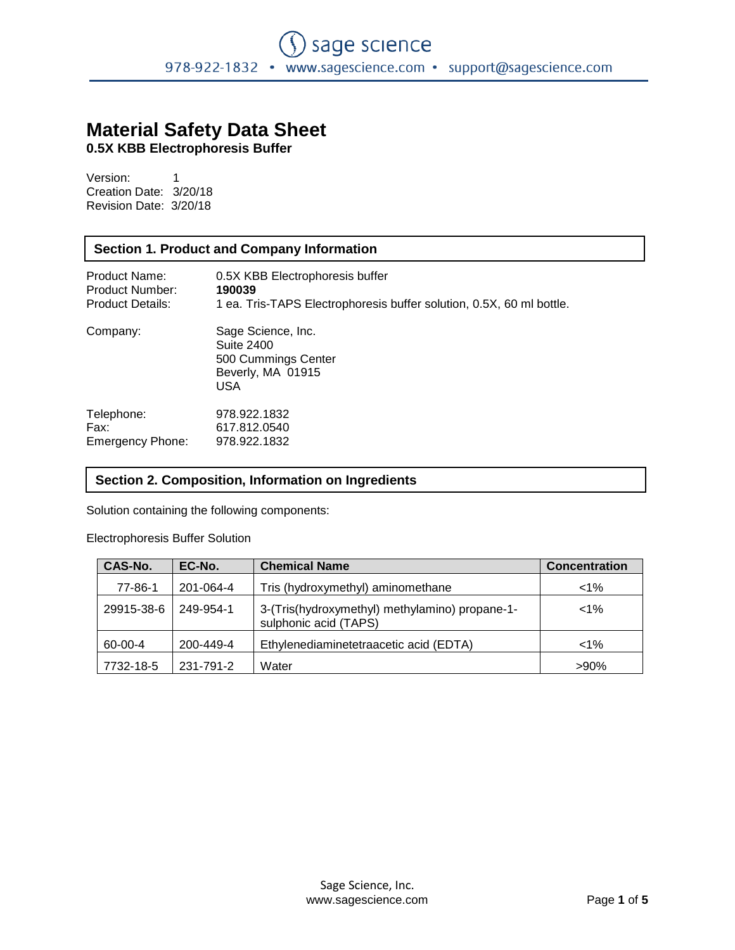# **Material Safety Data Sheet**

**0.5X KBB Electrophoresis Buffer**

Version: 1 Creation Date: 3/20/18 Revision Date: 3/20/18

# **Section 1. Product and Company Information**

| Product Name:           | 0.5X KBB Electrophoresis buffer                                                                   |
|-------------------------|---------------------------------------------------------------------------------------------------|
| Product Number:         | 190039                                                                                            |
| <b>Product Details:</b> | 1 ea. Tris-TAPS Electrophoresis buffer solution, 0.5X, 60 ml bottle.                              |
| Company:                | Sage Science, Inc.<br><b>Suite 2400</b><br>500 Cummings Center<br>Beverly, MA 01915<br><b>USA</b> |
| Telephone:              | 978.922.1832                                                                                      |
| Fax:                    | 617.812.0540                                                                                      |
| Emergency Phone:        | 978.922.1832                                                                                      |

# **Section 2. Composition, Information on Ingredients**

Solution containing the following components:

#### Electrophoresis Buffer Solution

| CAS-No.    | EC-No.    | <b>Chemical Name</b>                                                    | <b>Concentration</b> |
|------------|-----------|-------------------------------------------------------------------------|----------------------|
| 77-86-1    | 201-064-4 | Tris (hydroxymethyl) aminomethane                                       | $< 1\%$              |
| 29915-38-6 | 249-954-1 | 3-(Tris(hydroxymethyl) methylamino) propane-1-<br>sulphonic acid (TAPS) | $< 1\%$              |
| 60-00-4    | 200-449-4 | Ethylenediaminetetraacetic acid (EDTA)                                  | $< 1\%$              |
| 7732-18-5  | 231-791-2 | Water                                                                   | $>90\%$              |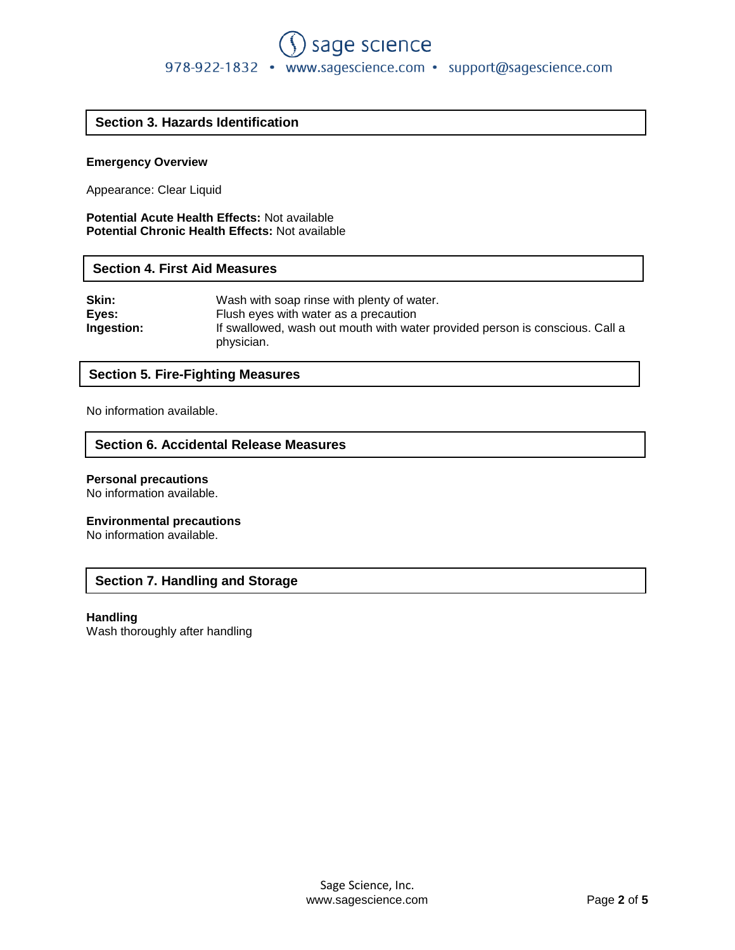# **Section 3. Hazards Identification**

# **Emergency Overview**

Appearance: Clear Liquid

**Potential Acute Health Effects:** Not available **Potential Chronic Health Effects:** Not available

# **Section 4. First Aid Measures**

| Skin:<br>Wash with soap rinse with plenty of water.                                                             |  |
|-----------------------------------------------------------------------------------------------------------------|--|
| Eyes:<br>Flush eyes with water as a precaution                                                                  |  |
| <b>Ingestion:</b><br>If swallowed, wash out mouth with water provided person is conscious. Call a<br>physician. |  |

# **Section 5. Fire-Fighting Measures**

No information available.

# **Section 6. Accidental Release Measures**

#### **Personal precautions**

No information available.

#### **Environmental precautions**

No information available.

# **Section 7. Handling and Storage**

#### **Handling**

Wash thoroughly after handling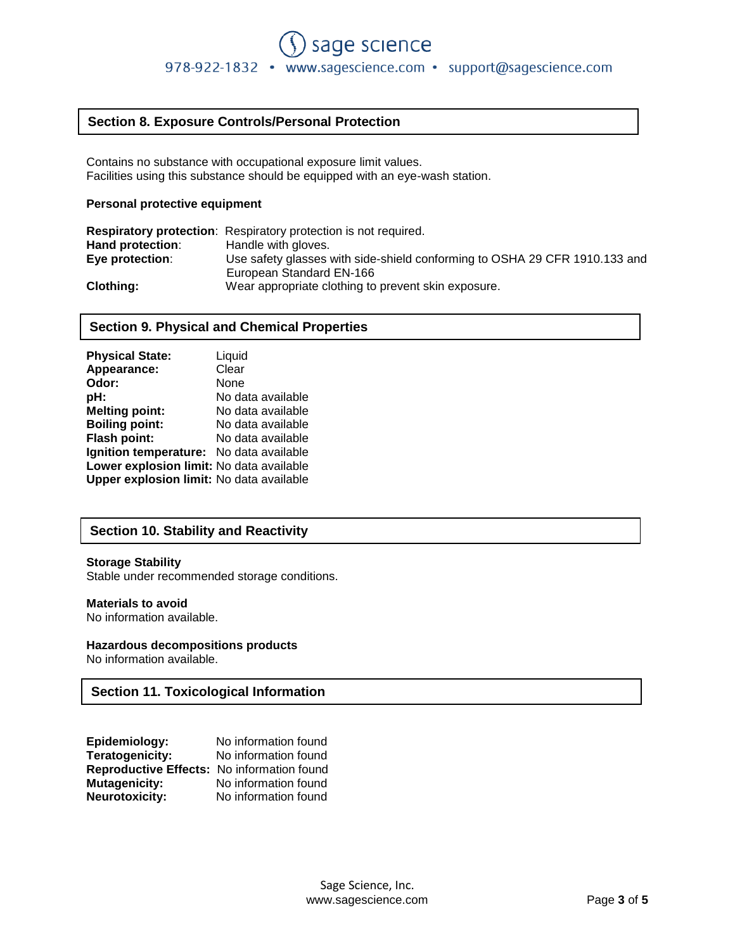# **Section 8. Exposure Controls/Personal Protection**

Contains no substance with occupational exposure limit values. Facilities using this substance should be equipped with an eye-wash station.

#### **Personal protective equipment**

|                  | <b>Respiratory protection:</b> Respiratory protection is not required.     |
|------------------|----------------------------------------------------------------------------|
| Hand protection: | Handle with gloves.                                                        |
| Eye protection:  | Use safety glasses with side-shield conforming to OSHA 29 CFR 1910.133 and |
|                  | European Standard EN-166                                                   |
| <b>Clothing:</b> | Wear appropriate clothing to prevent skin exposure.                        |

# **Section 9. Physical and Chemical Properties**

| <b>Physical State:</b>                   | Liquid            |
|------------------------------------------|-------------------|
| Appearance:                              | Clear             |
| Odor:                                    | None              |
| pH:                                      | No data available |
| <b>Melting point:</b>                    | No data available |
| <b>Boiling point:</b>                    | No data available |
| <b>Flash point:</b>                      | No data available |
| Ignition temperature: No data available  |                   |
| Lower explosion limit: No data available |                   |
| Upper explosion limit: No data available |                   |

# **Section 10. Stability and Reactivity**

#### **Storage Stability**

Stable under recommended storage conditions.

#### **Materials to avoid**

No information available.

#### **Hazardous decompositions products**

No information available.

# **Section 11. Toxicological Information**

| Epidemiology:                              | No information found |
|--------------------------------------------|----------------------|
| <b>Teratogenicity:</b>                     | No information found |
| Reproductive Effects: No information found |                      |
| <b>Mutagenicity:</b>                       | No information found |
| <b>Neurotoxicity:</b>                      | No information found |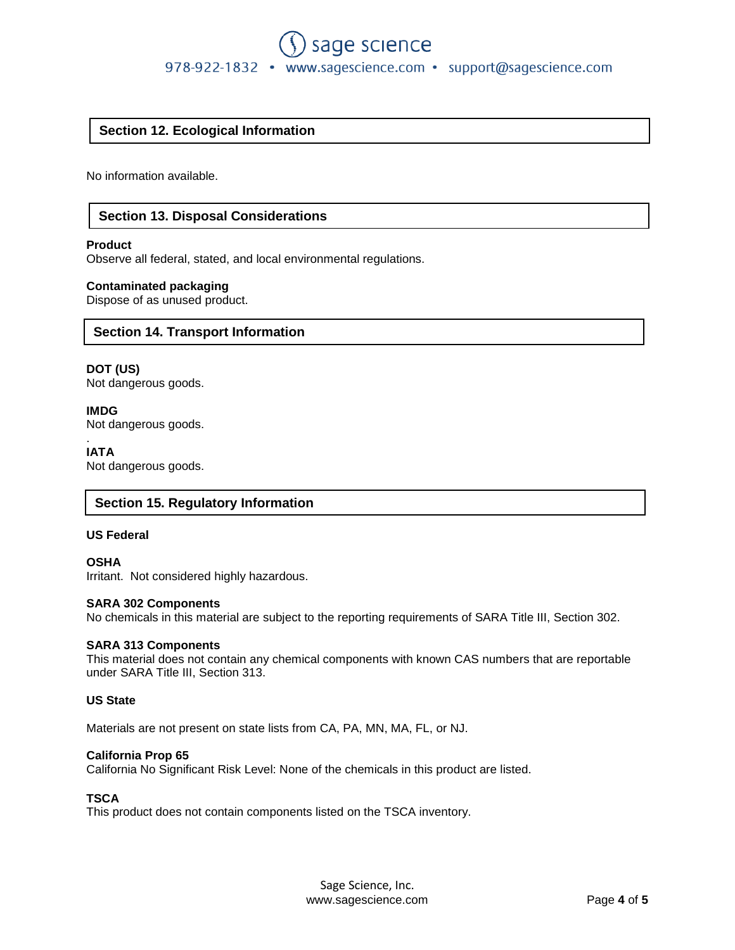# sage science 978-922-1832 • www.sagescience.com • support@sagescience.com

# **Section 12. Ecological Information**

No information available.

# **Section 13. Disposal Considerations**

#### **Product**

Observe all federal, stated, and local environmental regulations.

#### **Contaminated packaging**

Dispose of as unused product.

#### **Section 14. Transport Information**

**DOT (US)** Not dangerous goods.

**IMDG** Not dangerous goods.

. **IATA** Not dangerous goods.

#### **Section 15. Regulatory Information**

#### **US Federal**

**OSHA** Irritant. Not considered highly hazardous.

#### **SARA 302 Components**

No chemicals in this material are subject to the reporting requirements of SARA Title III, Section 302.

#### **SARA 313 Components**

This material does not contain any chemical components with known CAS numbers that are reportable under SARA Title III, Section 313.

#### **US State**

Materials are not present on state lists from CA, PA, MN, MA, FL, or NJ.

#### **California Prop 65**

California No Significant Risk Level: None of the chemicals in this product are listed.

#### **TSCA**

This product does not contain components listed on the TSCA inventory.